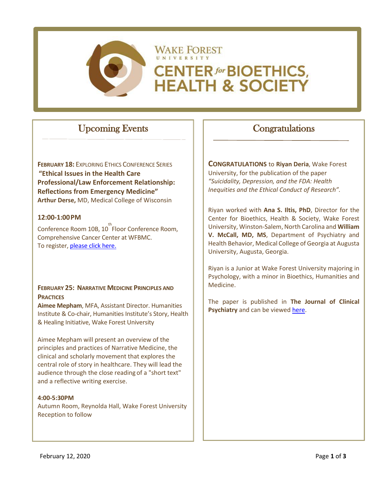

# Upcoming Events

**FEBRUARY 18: EXPLORING ETHICS CONFERENCE SERIES "Ethical Issues in the Health Care Professional/Law Enforcement Relationship: Reflections from Emergency Medicine" Arthur Derse,** MD, Medical College of Wisconsin

#### **12:00-1:00PM**

Conference Room 10B, 10<sup>th</sup> Floor Conference Room, Comprehensive Cancer Center at WFBMC. To register, please click here.

#### **FEBRUARY 25: NARRATIVE MEDICINE PRINCIPLES AND PRACTICES**

**Aimee Mepham**, MFA, Assistant Director. Humanities Institute & Co-chair, Humanities Institute's Story, Health & Healing Initiative, Wake Forest University

Aimee Mepham will present an overview of the principles and practices of Narrative Medicine, the clinical and scholarly movement that explores the central role of story in healthcare. They will lead the audience through the close reading of a "short text" and a reflective writing exercise.

#### **4:00-5:30PM**

Autumn Room, Reynolda Hall, Wake Forest University Reception to follow

### **Congratulations**

**CONGRATULATIONS** to **Riyan Deria**, Wake Forest University, for the publication of the paper *"Suicidality, Depression, and the FDA: Health Inequities and the Ethical Conduct of Research".*

Riyan worked with **Ana S. Iltis, PhD**, Director for the Center for Bioethics, Health & Society, Wake Forest University, Winston-Salem, North Carolina and **William V. McCall, MD, MS**, Department of Psychiatry and Health Behavior, Medical College of Georgia at Augusta University, Augusta, Georgia.

Riyan is a Junior at Wake Forest University majoring in Psychology, with a minor in Bioethics, Humanities and Medicine.

The paper is published in **The Journal of Clinical Psychiatry** and can be viewed here.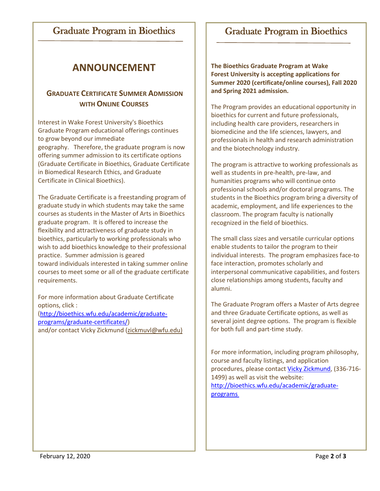## Graduate Program in Bioethics

## Graduate Program in Bioethics

# **ANNOUNCEMENT**

### **GRADUATE CERTIFICATE SUMMER ADMISSION WITH ONLINE COURSES**

Interest in Wake Forest University's Bioethics Graduate Program educational offerings continues to grow beyond our immediate geography. Therefore, the graduate program is now offering summer admission to its certificate options (Graduate Certificate in Bioethics, Graduate Certificate in Biomedical Research Ethics, and Graduate Certificate in Clinical Bioethics).

The Graduate Certificate is a freestanding program of graduate study in which students may take the same courses as students in the Master of Arts in Bioethics graduate program. It is offered to increase the flexibility and attractiveness of graduate study in bioethics, particularly to working professionals who wish to add bioethics knowledge to their professional practice. Summer admission is geared toward individuals interested in taking summer online courses to meet some or all of the graduate certificate requirements.

For more information about Graduate Certificate options, click : (http://bioethics.wfu.edu/academic/graduateprograms/graduate-certificates/)

and/or contact Vicky Zickmund (zickmuvl@wfu.edu)

**The Bioethics Graduate Program at Wake Forest University is accepting applications for Summer 2020 (certificate/online courses), Fall 2020 and Spring 2021 admission.**

The Program provides an educational opportunity in bioethics for current and future professionals, including health care providers, researchers in biomedicine and the life sciences, lawyers, and professionals in health and research administration and the biotechnology industry.

The program is attractive to working professionals as well as students in pre-health, pre-law, and humanities programs who will continue onto professional schools and/or doctoral programs. The students in the Bioethics program bring a diversity of academic, employment, and life experiences to the classroom. The program faculty is nationally recognized in the field of bioethics.

The small class sizes and versatile curricular options enable students to tailor the program to their individual interests. The program emphasizes face-to face interaction, promotes scholarly and interpersonal communicative capabilities, and fosters close relationships among students, faculty and alumni.

The Graduate Program offers a Master of Arts degree and three Graduate Certificate options, as well as several joint degree options. The program is flexible for both full and part-time study.

For more information, including program philosophy, course and faculty listings, and application procedures, please contact Vicky Zickmund, (336-716- 1499) as well as visit the website: http://bioethics.wfu.edu/academic/graduateprograms